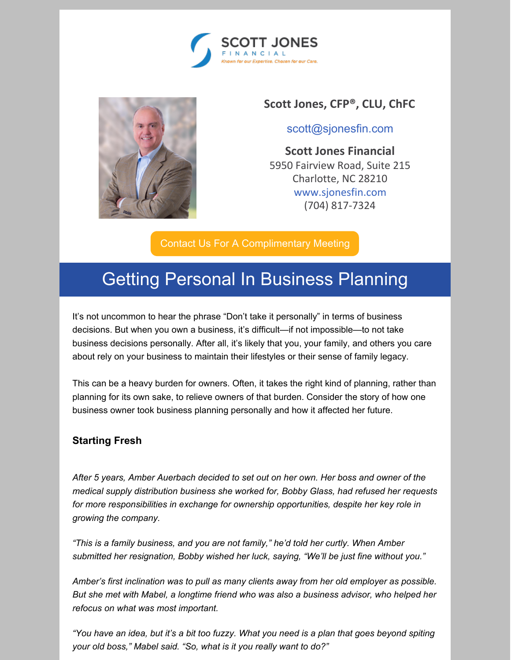



# **Scott Jones, CFP®, CLU, ChFC**

[scott@sjonesfin.com](mailto:scott@sjonesfin.com)

**Scott Jones Financial** 5950 Fairview Road, Suite 215 Charlotte, NC 28210 [www.sjonesfin.com](https://scottjonesfinancial.cmail20.com/t/j-l-ajjuue-ttjkkuxjh-y/) (704) 817-7324

Contact Us For A [Complimentary](mailto:scott@sjonesfin.com) Meeting

# Getting Personal In Business Planning

It's not uncommon to hear the phrase "Don't take it personally" in terms of business decisions. But when you own a business, it's difficult—if not impossible—to not take business decisions personally. After all, it's likely that you, your family, and others you care about rely on your business to maintain their lifestyles or their sense of family legacy.

This can be a heavy burden for owners. Often, it takes the right kind of planning, rather than planning for its own sake, to relieve owners of that burden. Consider the story of how one business owner took business planning personally and how it affected her future.

#### **Starting Fresh**

*After 5 years, Amber Auerbach decided to set out on her own. Her boss and owner of the medical supply distribution business she worked for, Bobby Glass, had refused her requests for more responsibilities in exchange for ownership opportunities, despite her key role in growing the company.*

*"This is a family business, and you are not family," he'd told her curtly. When Amber submitted her resignation, Bobby wished her luck, saying, "We'll be just fine without you."*

*Amber's first inclination was to pull as many clients away from her old employer as possible. But she met with Mabel, a longtime friend who was also a business advisor, who helped her refocus on what was most important.*

"You have an idea, but it's a bit too fuzzy. What you need is a plan that goes beyond spiting *your old boss," Mabel said. "So, what is it you really want to do?"*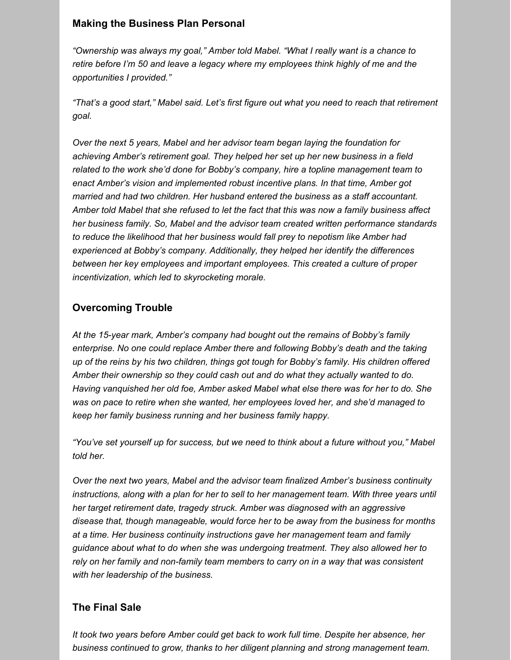#### **Making the Business Plan Personal**

*"Ownership was always my goal," Amber told Mabel. "What I really want is a chance to retire before I'm 50 and leave a legacy where my employees think highly of me and the opportunities I provided."*

*"That's a good start," Mabel said. Let's first figure out what you need to reach that retirement goal.*

*Over the next 5 years, Mabel and her advisor team began laying the foundation for achieving Amber's retirement goal. They helped her set up her new business in a field related to the work she'd done for Bobby's company, hire a topline management team to enact Amber's vision and implemented robust incentive plans. In that time, Amber got married and had two children. Her husband entered the business as a staff accountant. Amber told Mabel that she refused to let the fact that this was now a family business affect her business family. So, Mabel and the advisor team created written performance standards to reduce the likelihood that her business would fall prey to nepotism like Amber had experienced at Bobby's company. Additionally, they helped her identify the differences between her key employees and important employees. This created a culture of proper incentivization, which led to skyrocketing morale.*

#### **Overcoming Trouble**

*At the 15-year mark, Amber's company had bought out the remains of Bobby's family enterprise. No one could replace Amber there and following Bobby's death and the taking up of the reins by his two children, things got tough for Bobby's family. His children offered Amber their ownership so they could cash out and do what they actually wanted to do. Having vanquished her old foe, Amber asked Mabel what else there was for her to do. She was on pace to retire when she wanted, her employees loved her, and she'd managed to keep her family business running and her business family happy.*

*"You've set yourself up for success, but we need to think about a future without you," Mabel told her.*

*Over the next two years, Mabel and the advisor team finalized Amber's business continuity instructions, along with a plan for her to sell to her management team. With three years until her target retirement date, tragedy struck. Amber was diagnosed with an aggressive disease that, though manageable, would force her to be away from the business for months at a time. Her business continuity instructions gave her management team and family guidance about what to do when she was undergoing treatment. They also allowed her to rely on her family and non-family team members to carry on in a way that was consistent with her leadership of the business.*

### **The Final Sale**

*It took two years before Amber could get back to work full time. Despite her absence, her business continued to grow, thanks to her diligent planning and strong management team.*